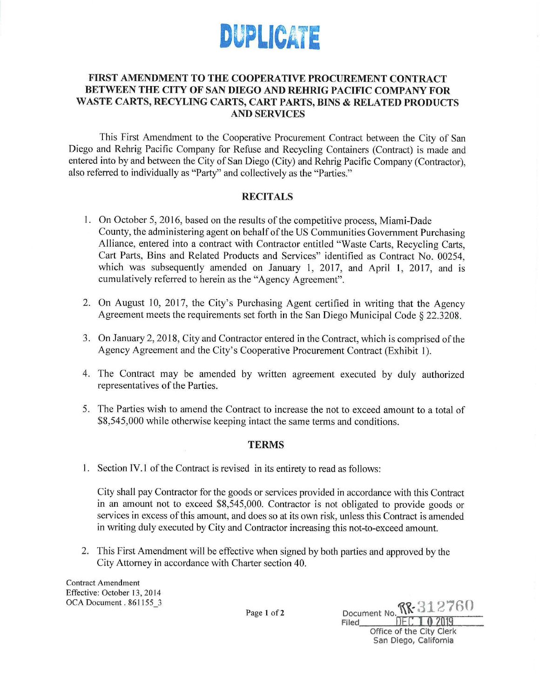

## FIRST AMENDMENT TO THE COOPERATIVE PROCUREMENT CONTRACT BETWEEN THE CITY OF SAN DIEGO AND REHRIG PACIFIC COMPANY FOR **WASTE CARTS, RECYLING CARTS, CART PARTS, BINS** & **RELATED PRODUCTS AND SERVICES**

This First Amendment to the Cooperative Procurement Contract between the City of San Diego and Rehrig Pacific Company for Refuse and Recycling Containers (Contract) is made and entered into by and between the City of San Diego (City) and Rehrig Pacific Company (Contractor) , also referred to individually as "Party" and collectively as the "Parties."

## **RECITALS**

- 1. On October 5, 2016 , based on the results of the competitive process, Miami-Dade County , the administering agent on behalf of the US Communities Government Purchasing Alliance, entered into a contract with Contractor entitled "Waste Carts, Recycling Carts, Cart Parts, Bins and Related Products and Services" identified as Contract No. 00254, which was subsequently amended on January 1, 2017, and April 1, 2017, and is cumulatively referred to herein as the "Agency Agreement".
- 2. On August 10, 2017, the City's Purchasing Agent certified in writing that the Agency Agreement meets the requirements set forth in the San Diego Municipal Code § 22.3208.
- 3. On January 2, 2018, City and Contractor entered in the Contract, which is comprised of the Agency Agreement and the City 's Cooperative Procurement Contract (Exhibit 1).
- 4. The Contract may be amended by written agreement executed by duly authorized representatives of the Parties.
- 5. The Parties wish to amend the Contract to increase the not to exceed amount to a total of \$8,545,000 while otherwise keeping intact the same terms and conditions.

## **TERMS**

1. Section IV.I of the Contract is revised in its entirety to read as follows:

City shall pay Contractor for the goods or services provided in accordance with this Contract in an amount not to exceed \$8,545,000. Contractor is not obligated to provide goods or services in excess of this amount, and does so at its own risk, unless this Contract is amended in writing duly executed by City and Contractor increasing this not-to-exceed amount.

2. This First Amendment will be effective when signed by both parties and approved by the City Attorney in accordance with Charter section 40.

Contract Amendment Effective: October 13, 2014 OCA Document. 861155\_3

Page 1 of 2 **Document No.**  $\Re$  $\Re$  **312760** Filed DEC **1 0** 2019 Office of the City Clerk San Diego, California